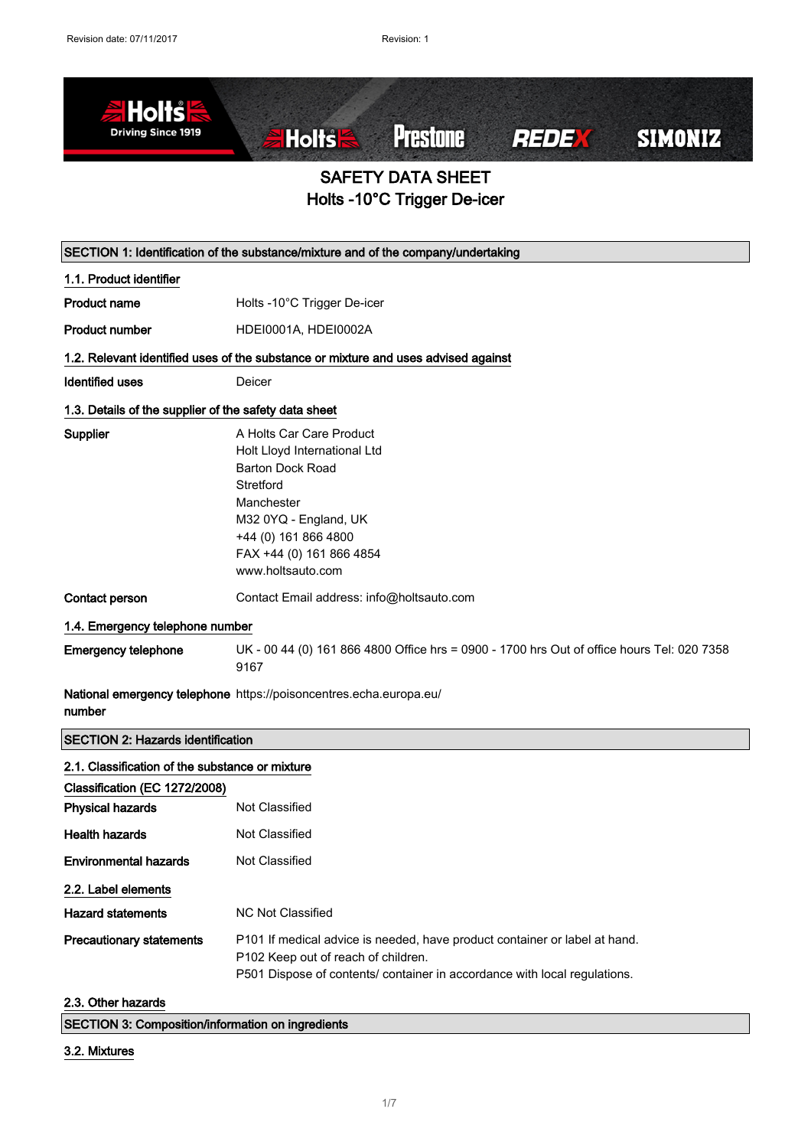

| SECTION 1: Identification of the substance/mixture and of the company/undertaking |                                                                                                                                                                                                                  |
|-----------------------------------------------------------------------------------|------------------------------------------------------------------------------------------------------------------------------------------------------------------------------------------------------------------|
| 1.1. Product identifier                                                           |                                                                                                                                                                                                                  |
| <b>Product name</b>                                                               | Holts -10°C Trigger De-icer                                                                                                                                                                                      |
| <b>Product number</b>                                                             | HDEI0001A, HDEI0002A                                                                                                                                                                                             |
|                                                                                   | 1.2. Relevant identified uses of the substance or mixture and uses advised against                                                                                                                               |
| <b>Identified uses</b>                                                            | Deicer                                                                                                                                                                                                           |
| 1.3. Details of the supplier of the safety data sheet                             |                                                                                                                                                                                                                  |
| Supplier                                                                          | A Holts Car Care Product<br>Holt Lloyd International Ltd<br><b>Barton Dock Road</b><br>Stretford<br>Manchester<br>M32 0YQ - England, UK<br>+44 (0) 161 866 4800<br>FAX +44 (0) 161 866 4854<br>www.holtsauto.com |
| Contact person                                                                    | Contact Email address: info@holtsauto.com                                                                                                                                                                        |
| 1.4. Emergency telephone number                                                   |                                                                                                                                                                                                                  |
| <b>Emergency telephone</b>                                                        | UK - 00 44 (0) 161 866 4800 Office hrs = 0900 - 1700 hrs Out of office hours Tel: 020 7358<br>9167                                                                                                               |
| number                                                                            | National emergency telephone https://poisoncentres.echa.europa.eu/                                                                                                                                               |
| <b>SECTION 2: Hazards identification</b>                                          |                                                                                                                                                                                                                  |
| 2.1. Classification of the substance or mixture                                   |                                                                                                                                                                                                                  |
| Classification (EC 1272/2008)                                                     |                                                                                                                                                                                                                  |
| <b>Physical hazards</b>                                                           | Not Classified                                                                                                                                                                                                   |
| <b>Health hazards</b>                                                             | Not Classified                                                                                                                                                                                                   |
| <b>Environmental hazards</b>                                                      | Not Classified                                                                                                                                                                                                   |
| 2.2. Label elements                                                               |                                                                                                                                                                                                                  |
| <b>Hazard statements</b>                                                          | <b>NC Not Classified</b>                                                                                                                                                                                         |
| <b>Precautionary statements</b>                                                   | P101 If medical advice is needed, have product container or label at hand.<br>P102 Keep out of reach of children.<br>P501 Dispose of contents/ container in accordance with local regulations.                   |
| 2.3. Other hazards                                                                |                                                                                                                                                                                                                  |

| <b>SECTION 3: Composition/information on ingredients</b> |  |
|----------------------------------------------------------|--|
|                                                          |  |

#### 3.2. Mixtures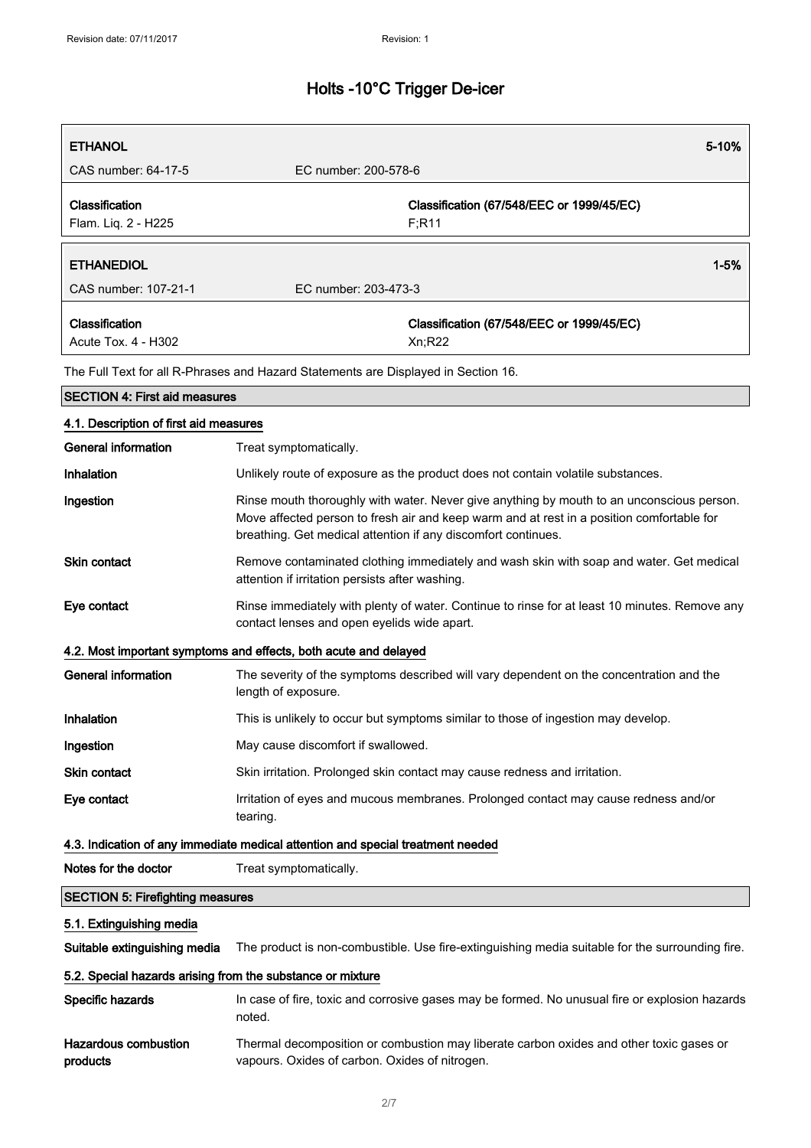| <b>ETHANOL</b>                                             | 5-10%                                                                                                                                                                                                                                                   |
|------------------------------------------------------------|---------------------------------------------------------------------------------------------------------------------------------------------------------------------------------------------------------------------------------------------------------|
| CAS number: 64-17-5                                        | EC number: 200-578-6                                                                                                                                                                                                                                    |
| Classification<br>Flam. Liq. 2 - H225                      | Classification (67/548/EEC or 1999/45/EC)<br>F; R11                                                                                                                                                                                                     |
| <b>ETHANEDIOL</b>                                          | $1 - 5%$                                                                                                                                                                                                                                                |
| CAS number: 107-21-1                                       | EC number: 203-473-3                                                                                                                                                                                                                                    |
| Classification<br>Acute Tox. 4 - H302                      | Classification (67/548/EEC or 1999/45/EC)<br>Xn; R22                                                                                                                                                                                                    |
|                                                            | The Full Text for all R-Phrases and Hazard Statements are Displayed in Section 16.                                                                                                                                                                      |
| <b>SECTION 4: First aid measures</b>                       |                                                                                                                                                                                                                                                         |
| 4.1. Description of first aid measures                     |                                                                                                                                                                                                                                                         |
| <b>General information</b>                                 | Treat symptomatically.                                                                                                                                                                                                                                  |
| Inhalation                                                 | Unlikely route of exposure as the product does not contain volatile substances.                                                                                                                                                                         |
| Ingestion                                                  | Rinse mouth thoroughly with water. Never give anything by mouth to an unconscious person.<br>Move affected person to fresh air and keep warm and at rest in a position comfortable for<br>breathing. Get medical attention if any discomfort continues. |
| <b>Skin contact</b>                                        | Remove contaminated clothing immediately and wash skin with soap and water. Get medical<br>attention if irritation persists after washing.                                                                                                              |
| Eye contact                                                | Rinse immediately with plenty of water. Continue to rinse for at least 10 minutes. Remove any<br>contact lenses and open eyelids wide apart.                                                                                                            |
|                                                            | 4.2. Most important symptoms and effects, both acute and delayed                                                                                                                                                                                        |
| <b>General information</b>                                 | The severity of the symptoms described will vary dependent on the concentration and the<br>length of exposure.                                                                                                                                          |
| Inhalation                                                 | This is unlikely to occur but symptoms similar to those of ingestion may develop.                                                                                                                                                                       |
| Ingestion                                                  | May cause discomfort if swallowed.                                                                                                                                                                                                                      |
| Skin contact                                               | Skin irritation. Prolonged skin contact may cause redness and irritation.                                                                                                                                                                               |
| Eye contact                                                | Irritation of eyes and mucous membranes. Prolonged contact may cause redness and/or<br>tearing.                                                                                                                                                         |
|                                                            | 4.3. Indication of any immediate medical attention and special treatment needed                                                                                                                                                                         |
| Notes for the doctor                                       | Treat symptomatically.                                                                                                                                                                                                                                  |
| <b>SECTION 5: Firefighting measures</b>                    |                                                                                                                                                                                                                                                         |
| 5.1. Extinguishing media                                   |                                                                                                                                                                                                                                                         |
| Suitable extinguishing media                               | The product is non-combustible. Use fire-extinguishing media suitable for the surrounding fire.                                                                                                                                                         |
| 5.2. Special hazards arising from the substance or mixture |                                                                                                                                                                                                                                                         |
| Specific hazards                                           | In case of fire, toxic and corrosive gases may be formed. No unusual fire or explosion hazards<br>noted.                                                                                                                                                |

| Hazardous combustion | Thermal decomposition or combustion may liberate carbon oxides and other toxic gases or |
|----------------------|-----------------------------------------------------------------------------------------|
| products             | vapours. Oxides of carbon. Oxides of nitrogen.                                          |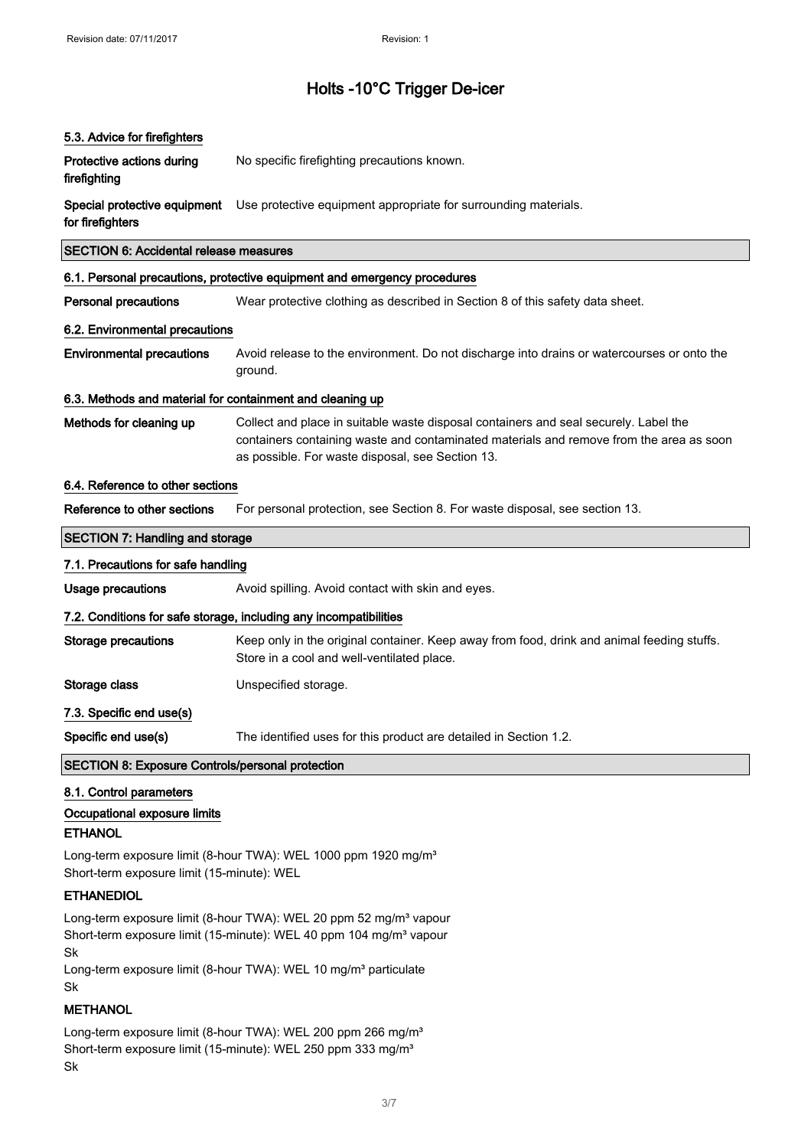| 5.3. Advice for firefighters                              |                                                                                                                                                                                                                                     |  |
|-----------------------------------------------------------|-------------------------------------------------------------------------------------------------------------------------------------------------------------------------------------------------------------------------------------|--|
| Protective actions during<br>firefighting                 | No specific firefighting precautions known.                                                                                                                                                                                         |  |
| Special protective equipment<br>for firefighters          | Use protective equipment appropriate for surrounding materials.                                                                                                                                                                     |  |
| <b>SECTION 6: Accidental release measures</b>             |                                                                                                                                                                                                                                     |  |
|                                                           | 6.1. Personal precautions, protective equipment and emergency procedures                                                                                                                                                            |  |
| <b>Personal precautions</b>                               | Wear protective clothing as described in Section 8 of this safety data sheet.                                                                                                                                                       |  |
| 6.2. Environmental precautions                            |                                                                                                                                                                                                                                     |  |
| <b>Environmental precautions</b>                          | Avoid release to the environment. Do not discharge into drains or watercourses or onto the<br>ground.                                                                                                                               |  |
| 6.3. Methods and material for containment and cleaning up |                                                                                                                                                                                                                                     |  |
| Methods for cleaning up                                   | Collect and place in suitable waste disposal containers and seal securely. Label the<br>containers containing waste and contaminated materials and remove from the area as soon<br>as possible. For waste disposal, see Section 13. |  |
| 6.4. Reference to other sections                          |                                                                                                                                                                                                                                     |  |
| Reference to other sections                               | For personal protection, see Section 8. For waste disposal, see section 13.                                                                                                                                                         |  |
| <b>SECTION 7: Handling and storage</b>                    |                                                                                                                                                                                                                                     |  |
| 7.1. Precautions for safe handling                        |                                                                                                                                                                                                                                     |  |
| <b>Usage precautions</b>                                  | Avoid spilling. Avoid contact with skin and eyes.                                                                                                                                                                                   |  |
|                                                           | 7.2. Conditions for safe storage, including any incompatibilities                                                                                                                                                                   |  |
| Storage precautions                                       | Keep only in the original container. Keep away from food, drink and animal feeding stuffs.<br>Store in a cool and well-ventilated place.                                                                                            |  |
| Storage class                                             | Unspecified storage.                                                                                                                                                                                                                |  |
| 7.3. Specific end use(s)                                  |                                                                                                                                                                                                                                     |  |
| Specific end use(s)                                       | The identified uses for this product are detailed in Section 1.2.                                                                                                                                                                   |  |
| <b>SECTION 8: Exposure Controls/personal protection</b>   |                                                                                                                                                                                                                                     |  |
| 8.1. Control parameters                                   |                                                                                                                                                                                                                                     |  |
| Occupational exposure limits                              |                                                                                                                                                                                                                                     |  |

#### **ETHANOL**

Long-term exposure limit (8-hour TWA): WEL 1000 ppm 1920 mg/m<sup>3</sup> Short-term exposure limit (15-minute): WEL

#### ETHANEDIOL

Long-term exposure limit (8-hour TWA): WEL 20 ppm 52 mg/m<sup>3</sup> vapour Short-term exposure limit (15-minute): WEL 40 ppm 104 mg/m<sup>3</sup> vapour Sk

Long-term exposure limit (8-hour TWA): WEL 10 mg/m<sup>3</sup> particulate Sk

#### **METHANOL**

Long-term exposure limit (8-hour TWA): WEL 200 ppm 266 mg/m<sup>3</sup> Short-term exposure limit (15-minute): WEL 250 ppm 333 mg/m<sup>3</sup> Sk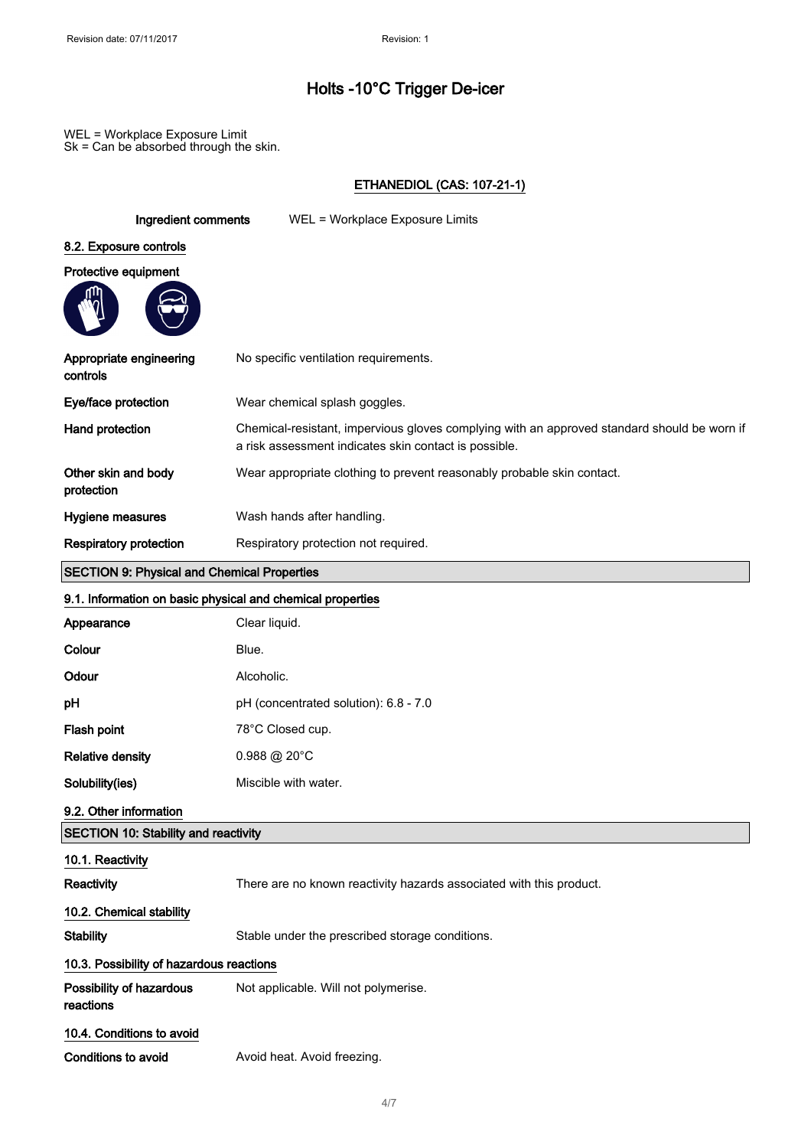WEL = Workplace Exposure Limit Sk = Can be absorbed through the skin.

#### ETHANEDIOL (CAS: 107-21-1)

| Ingredient comments                                        | WEL = Workplace Exposure Limits                                                                                                                      |
|------------------------------------------------------------|------------------------------------------------------------------------------------------------------------------------------------------------------|
| 8.2. Exposure controls                                     |                                                                                                                                                      |
| Protective equipment                                       |                                                                                                                                                      |
|                                                            |                                                                                                                                                      |
| Appropriate engineering<br>controls                        | No specific ventilation requirements.                                                                                                                |
| Eye/face protection                                        | Wear chemical splash goggles.                                                                                                                        |
| Hand protection                                            | Chemical-resistant, impervious gloves complying with an approved standard should be worn if<br>a risk assessment indicates skin contact is possible. |
| Other skin and body<br>protection                          | Wear appropriate clothing to prevent reasonably probable skin contact.                                                                               |
| Hygiene measures                                           | Wash hands after handling.                                                                                                                           |
| <b>Respiratory protection</b>                              | Respiratory protection not required.                                                                                                                 |
| <b>SECTION 9: Physical and Chemical Properties</b>         |                                                                                                                                                      |
| 9.1. Information on basic physical and chemical properties |                                                                                                                                                      |
| Appearance                                                 | Clear liquid.                                                                                                                                        |
| Colour                                                     | Blue.                                                                                                                                                |
| Odour                                                      | Alcoholic.                                                                                                                                           |
| рH                                                         | pH (concentrated solution): 6.8 - 7.0                                                                                                                |
| Flash point                                                | 78°C Closed cup.                                                                                                                                     |
| <b>Relative density</b>                                    | $0.988 \ @ 20^{\circ}$ C                                                                                                                             |
| Solubility(ies)                                            | Miscible with water.                                                                                                                                 |
| 9.2. Other information                                     |                                                                                                                                                      |
| <b>SECTION 10: Stability and reactivity</b>                |                                                                                                                                                      |
| 10.1. Reactivity                                           |                                                                                                                                                      |
| Reactivity                                                 | There are no known reactivity hazards associated with this product.                                                                                  |
| 10.2. Chemical stability                                   |                                                                                                                                                      |
| <b>Stability</b>                                           | Stable under the prescribed storage conditions.                                                                                                      |
| 10.3. Possibility of hazardous reactions                   |                                                                                                                                                      |
| Possibility of hazardous<br>reactions                      | Not applicable. Will not polymerise.                                                                                                                 |
| 10.4. Conditions to avoid                                  |                                                                                                                                                      |
| Conditions to avoid                                        | Avoid heat. Avoid freezing.                                                                                                                          |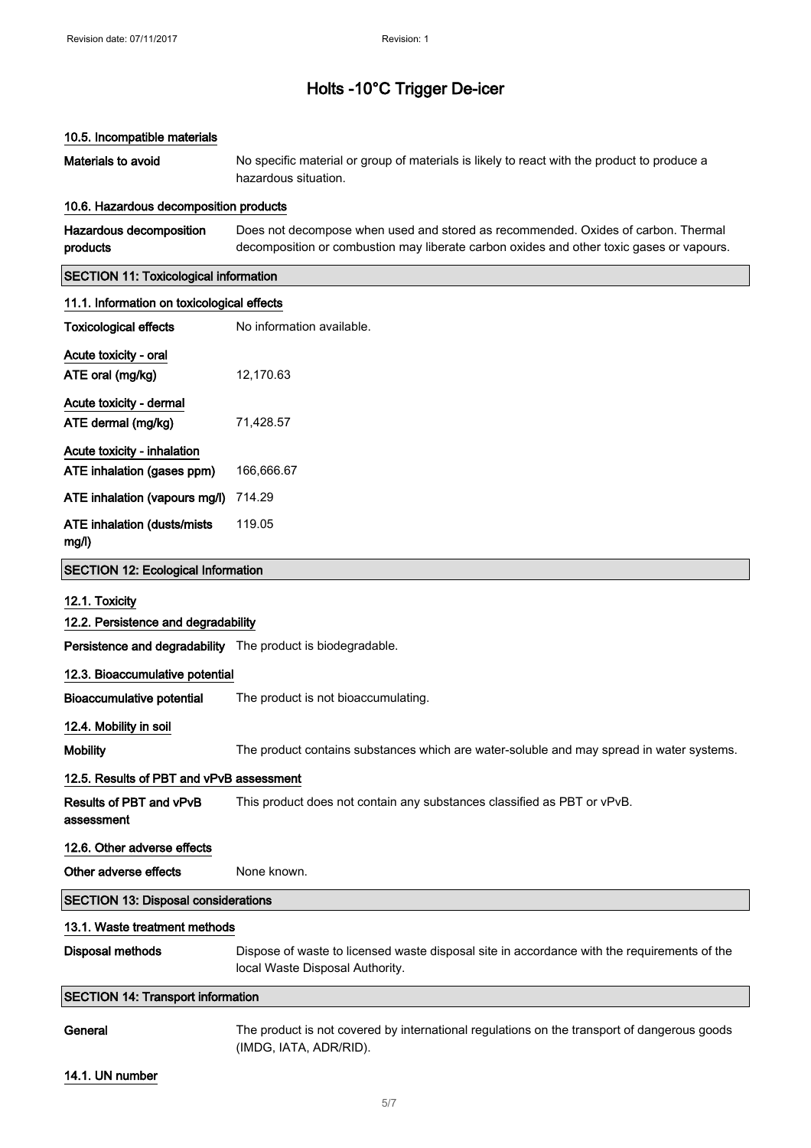| 10.5. Incompatible materials                                |                                                                                                                                                                               |
|-------------------------------------------------------------|-------------------------------------------------------------------------------------------------------------------------------------------------------------------------------|
| Materials to avoid                                          | No specific material or group of materials is likely to react with the product to produce a<br>hazardous situation.                                                           |
| 10.6. Hazardous decomposition products                      |                                                                                                                                                                               |
| Hazardous decomposition<br>products                         | Does not decompose when used and stored as recommended. Oxides of carbon. Thermal<br>decomposition or combustion may liberate carbon oxides and other toxic gases or vapours. |
| <b>SECTION 11: Toxicological information</b>                |                                                                                                                                                                               |
| 11.1. Information on toxicological effects                  |                                                                                                                                                                               |
| <b>Toxicological effects</b>                                | No information available.                                                                                                                                                     |
| Acute toxicity - oral                                       |                                                                                                                                                                               |
| ATE oral (mg/kg)                                            | 12,170.63                                                                                                                                                                     |
| Acute toxicity - dermal                                     |                                                                                                                                                                               |
| ATE dermal (mg/kg)                                          | 71,428.57                                                                                                                                                                     |
| Acute toxicity - inhalation                                 |                                                                                                                                                                               |
| ATE inhalation (gases ppm)                                  | 166,666.67                                                                                                                                                                    |
| ATE inhalation (vapours mg/l)                               | 714.29                                                                                                                                                                        |
| <b>ATE inhalation (dusts/mists</b><br>mg/l)                 | 119.05                                                                                                                                                                        |
| <b>SECTION 12: Ecological Information</b>                   |                                                                                                                                                                               |
| 12.1. Toxicity                                              |                                                                                                                                                                               |
| 12.2. Persistence and degradability                         |                                                                                                                                                                               |
| Persistence and degradability The product is biodegradable. |                                                                                                                                                                               |
| 12.3. Bioaccumulative potential                             |                                                                                                                                                                               |
| Bioaccumulative potential                                   | The product is not bioaccumulating.                                                                                                                                           |
| 12.4. Mobility in soil                                      |                                                                                                                                                                               |
| <b>Mobility</b>                                             | The product contains substances which are water-soluble and may spread in water systems.                                                                                      |
| 12.5. Results of PBT and vPvB assessment                    |                                                                                                                                                                               |
| <b>Results of PBT and vPvB</b><br>assessment                | This product does not contain any substances classified as PBT or vPvB.                                                                                                       |
| 12.6. Other adverse effects                                 |                                                                                                                                                                               |
| Other adverse effects                                       | None known.                                                                                                                                                                   |
| <b>SECTION 13: Disposal considerations</b>                  |                                                                                                                                                                               |
| 13.1. Waste treatment methods                               |                                                                                                                                                                               |
| <b>Disposal methods</b>                                     | Dispose of waste to licensed waste disposal site in accordance with the requirements of the<br>local Waste Disposal Authority.                                                |
| <b>SECTION 14: Transport information</b>                    |                                                                                                                                                                               |
| General                                                     | The product is not covered by international regulations on the transport of dangerous goods<br>(IMDG, IATA, ADR/RID).                                                         |

#### 14.1. UN number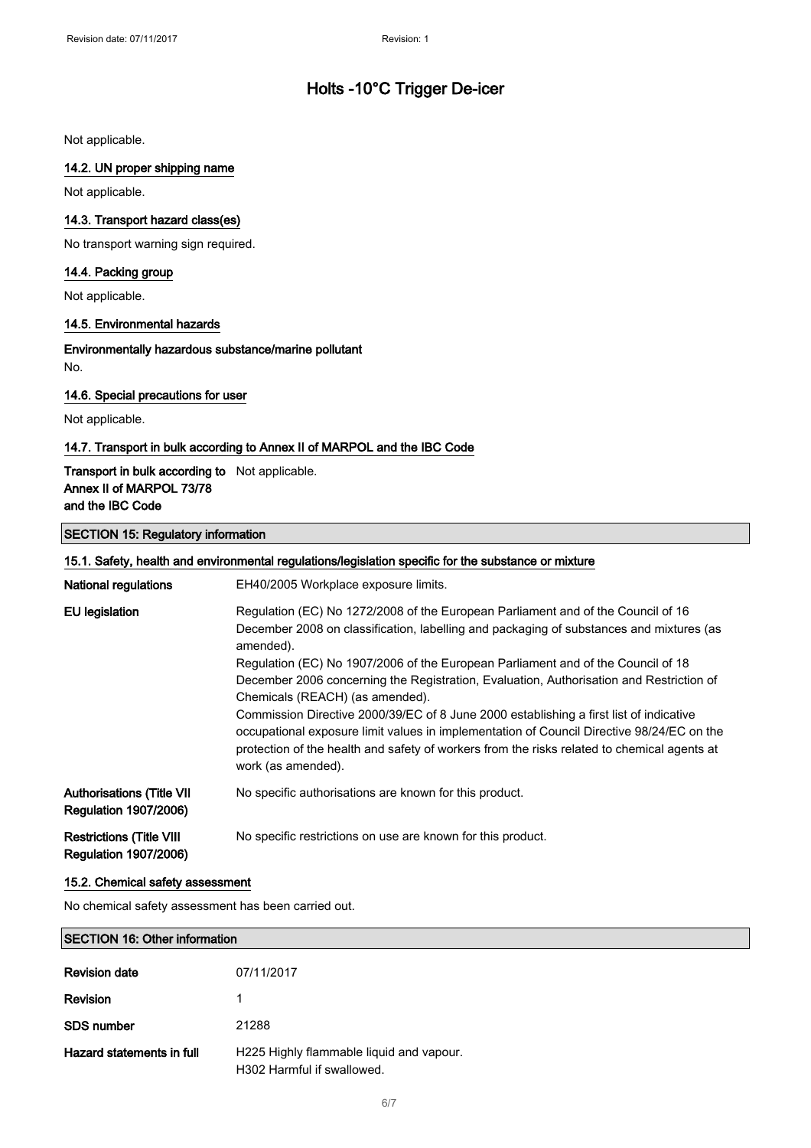Not applicable.

#### 14.2. UN proper shipping name

Not applicable.

#### 14.3. Transport hazard class(es)

No transport warning sign required.

#### 14.4. Packing group

Not applicable.

#### 14.5. Environmental hazards

Environmentally hazardous substance/marine pollutant No.

#### 14.6. Special precautions for user

Not applicable.

#### 14.7. Transport in bulk according to Annex II of MARPOL and the IBC Code

#### Transport in bulk according to Not applicable. Annex II of MARPOL 73/78 and the IBC Code

#### SECTION 15: Regulatory information

| 15.1. Safety, health and environmental regulations/legislation specific for the substance or mixture |                                                                                                                                                                                                                                                                                                                                                                                                                                                                                                                                                                                                                                                                                                                        |
|------------------------------------------------------------------------------------------------------|------------------------------------------------------------------------------------------------------------------------------------------------------------------------------------------------------------------------------------------------------------------------------------------------------------------------------------------------------------------------------------------------------------------------------------------------------------------------------------------------------------------------------------------------------------------------------------------------------------------------------------------------------------------------------------------------------------------------|
| <b>National regulations</b>                                                                          | EH40/2005 Workplace exposure limits.                                                                                                                                                                                                                                                                                                                                                                                                                                                                                                                                                                                                                                                                                   |
| EU legislation                                                                                       | Regulation (EC) No 1272/2008 of the European Parliament and of the Council of 16<br>December 2008 on classification, labelling and packaging of substances and mixtures (as<br>amended).<br>Regulation (EC) No 1907/2006 of the European Parliament and of the Council of 18<br>December 2006 concerning the Registration, Evaluation, Authorisation and Restriction of<br>Chemicals (REACH) (as amended).<br>Commission Directive 2000/39/EC of 8 June 2000 establishing a first list of indicative<br>occupational exposure limit values in implementation of Council Directive 98/24/EC on the<br>protection of the health and safety of workers from the risks related to chemical agents at<br>work (as amended). |
| <b>Authorisations (Title VII</b><br><b>Regulation 1907/2006)</b>                                     | No specific authorisations are known for this product.                                                                                                                                                                                                                                                                                                                                                                                                                                                                                                                                                                                                                                                                 |
| <b>Restrictions (Title VIII</b><br><b>Regulation 1907/2006)</b>                                      | No specific restrictions on use are known for this product.                                                                                                                                                                                                                                                                                                                                                                                                                                                                                                                                                                                                                                                            |

#### 15.2. Chemical safety assessment

No chemical safety assessment has been carried out.

| <b>SECTION 16: Other information</b> |                                                                        |
|--------------------------------------|------------------------------------------------------------------------|
| <b>Revision date</b>                 | 07/11/2017                                                             |
| Revision                             |                                                                        |
| <b>SDS</b> number                    | 21288                                                                  |
| Hazard statements in full            | H225 Highly flammable liquid and vapour.<br>H302 Harmful if swallowed. |